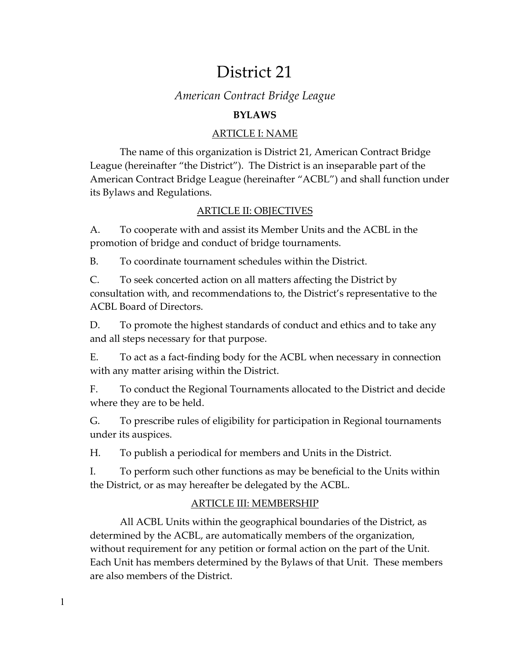# District 21

# *American Contract Bridge League*

## **BYLAWS**

## ARTICLE I: NAME

The name of this organization is District 21, American Contract Bridge League (hereinafter "the District"). The District is an inseparable part of the American Contract Bridge League (hereinafter "ACBL") and shall function under its Bylaws and Regulations.

## ARTICLE II: OBJECTIVES

A. To cooperate with and assist its Member Units and the ACBL in the promotion of bridge and conduct of bridge tournaments.

B. To coordinate tournament schedules within the District.

C. To seek concerted action on all matters affecting the District by consultation with, and recommendations to, the District's representative to the ACBL Board of Directors.

D. To promote the highest standards of conduct and ethics and to take any and all steps necessary for that purpose.

E. To act as a fact-finding body for the ACBL when necessary in connection with any matter arising within the District.

F. To conduct the Regional Tournaments allocated to the District and decide where they are to be held.

G. To prescribe rules of eligibility for participation in Regional tournaments under its auspices.

H. To publish a periodical for members and Units in the District.

I. To perform such other functions as may be beneficial to the Units within the District, or as may hereafter be delegated by the ACBL.

## ARTICLE III: MEMBERSHIP

All ACBL Units within the geographical boundaries of the District, as determined by the ACBL, are automatically members of the organization, without requirement for any petition or formal action on the part of the Unit. Each Unit has members determined by the Bylaws of that Unit. These members are also members of the District.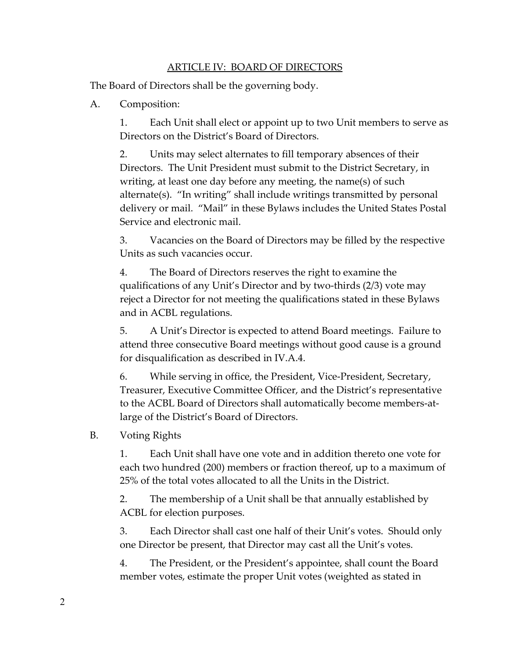#### ARTICLE IV: BOARD OF DIRECTORS

The Board of Directors shall be the governing body.

#### A. Composition:

1. Each Unit shall elect or appoint up to two Unit members to serve as Directors on the District's Board of Directors.

2. Units may select alternates to fill temporary absences of their Directors. The Unit President must submit to the District Secretary, in writing, at least one day before any meeting, the name(s) of such alternate(s). "In writing" shall include writings transmitted by personal delivery or mail. "Mail" in these Bylaws includes the United States Postal Service and electronic mail.

3. Vacancies on the Board of Directors may be filled by the respective Units as such vacancies occur.

4. The Board of Directors reserves the right to examine the qualifications of any Unit's Director and by two-thirds (2/3) vote may reject a Director for not meeting the qualifications stated in these Bylaws and in ACBL regulations.

5. A Unit's Director is expected to attend Board meetings. Failure to attend three consecutive Board meetings without good cause is a ground for disqualification as described in IV.A.4.

6. While serving in office, the President, Vice-President, Secretary, Treasurer, Executive Committee Officer, and the District's representative to the ACBL Board of Directors shall automatically become members-atlarge of the District's Board of Directors.

### B. Voting Rights

1. Each Unit shall have one vote and in addition thereto one vote for each two hundred (200) members or fraction thereof, up to a maximum of 25% of the total votes allocated to all the Units in the District.

2. The membership of a Unit shall be that annually established by ACBL for election purposes.

3. Each Director shall cast one half of their Unit's votes. Should only one Director be present, that Director may cast all the Unit's votes.

4. The President, or the President's appointee, shall count the Board member votes, estimate the proper Unit votes (weighted as stated in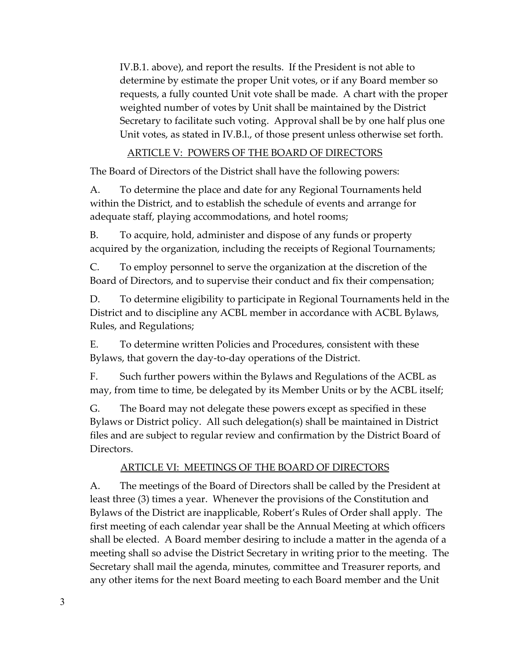IV.B.1. above), and report the results. If the President is not able to determine by estimate the proper Unit votes, or if any Board member so requests, a fully counted Unit vote shall be made. A chart with the proper weighted number of votes by Unit shall be maintained by the District Secretary to facilitate such voting. Approval shall be by one half plus one Unit votes, as stated in IV.B.l., of those present unless otherwise set forth.

## ARTICLE V: POWERS OF THE BOARD OF DIRECTORS

The Board of Directors of the District shall have the following powers:

A. To determine the place and date for any Regional Tournaments held within the District, and to establish the schedule of events and arrange for adequate staff, playing accommodations, and hotel rooms;

B. To acquire, hold, administer and dispose of any funds or property acquired by the organization, including the receipts of Regional Tournaments;

C. To employ personnel to serve the organization at the discretion of the Board of Directors, and to supervise their conduct and fix their compensation;

D. To determine eligibility to participate in Regional Tournaments held in the District and to discipline any ACBL member in accordance with ACBL Bylaws, Rules, and Regulations;

E. To determine written Policies and Procedures, consistent with these Bylaws, that govern the day-to-day operations of the District.

F. Such further powers within the Bylaws and Regulations of the ACBL as may, from time to time, be delegated by its Member Units or by the ACBL itself;

G. The Board may not delegate these powers except as specified in these Bylaws or District policy. All such delegation(s) shall be maintained in District files and are subject to regular review and confirmation by the District Board of Directors.

## ARTICLE VI: MEETINGS OF THE BOARD OF DIRECTORS

A. The meetings of the Board of Directors shall be called by the President at least three (3) times a year. Whenever the provisions of the Constitution and Bylaws of the District are inapplicable, Robert's Rules of Order shall apply. The first meeting of each calendar year shall be the Annual Meeting at which officers shall be elected. A Board member desiring to include a matter in the agenda of a meeting shall so advise the District Secretary in writing prior to the meeting. The Secretary shall mail the agenda, minutes, committee and Treasurer reports, and any other items for the next Board meeting to each Board member and the Unit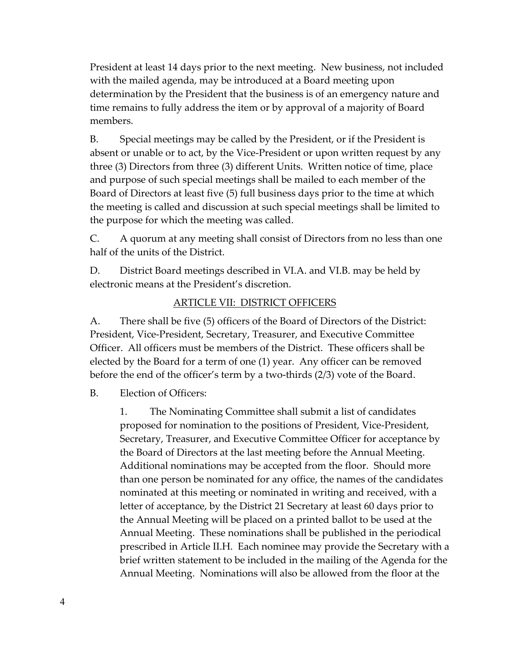President at least 14 days prior to the next meeting. New business, not included with the mailed agenda, may be introduced at a Board meeting upon determination by the President that the business is of an emergency nature and time remains to fully address the item or by approval of a majority of Board members.

B. Special meetings may be called by the President, or if the President is absent or unable or to act, by the Vice-President or upon written request by any three (3) Directors from three (3) different Units. Written notice of time, place and purpose of such special meetings shall be mailed to each member of the Board of Directors at least five (5) full business days prior to the time at which the meeting is called and discussion at such special meetings shall be limited to the purpose for which the meeting was called.

C. A quorum at any meeting shall consist of Directors from no less than one half of the units of the District.

D. District Board meetings described in VI.A. and VI.B. may be held by electronic means at the President's discretion.

### ARTICLE VII: DISTRICT OFFICERS

A. There shall be five (5) officers of the Board of Directors of the District: President, Vice-President, Secretary, Treasurer, and Executive Committee Officer. All officers must be members of the District. These officers shall be elected by the Board for a term of one (1) year. Any officer can be removed before the end of the officer's term by a two-thirds (2/3) vote of the Board.

B. Election of Officers:

1. The Nominating Committee shall submit a list of candidates proposed for nomination to the positions of President, Vice-President, Secretary, Treasurer, and Executive Committee Officer for acceptance by the Board of Directors at the last meeting before the Annual Meeting. Additional nominations may be accepted from the floor. Should more than one person be nominated for any office, the names of the candidates nominated at this meeting or nominated in writing and received, with a letter of acceptance, by the District 21 Secretary at least 60 days prior to the Annual Meeting will be placed on a printed ballot to be used at the Annual Meeting. These nominations shall be published in the periodical prescribed in Article II.H. Each nominee may provide the Secretary with a brief written statement to be included in the mailing of the Agenda for the Annual Meeting. Nominations will also be allowed from the floor at the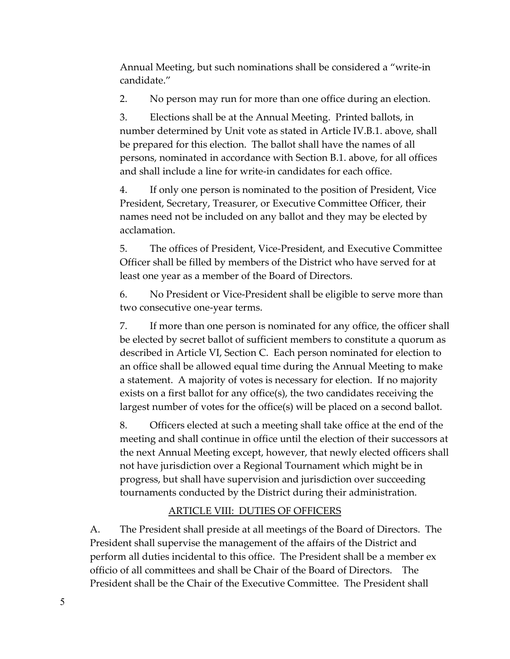Annual Meeting, but such nominations shall be considered a "write-in candidate."

2. No person may run for more than one office during an election.

3. Elections shall be at the Annual Meeting. Printed ballots, in number determined by Unit vote as stated in Article IV.B.1. above, shall be prepared for this election. The ballot shall have the names of all persons, nominated in accordance with Section B.1. above, for all offices and shall include a line for write-in candidates for each office.

4. If only one person is nominated to the position of President, Vice President, Secretary, Treasurer, or Executive Committee Officer, their names need not be included on any ballot and they may be elected by acclamation.

5. The offices of President, Vice-President, and Executive Committee Officer shall be filled by members of the District who have served for at least one year as a member of the Board of Directors.

6. No President or Vice-President shall be eligible to serve more than two consecutive one-year terms.

7. If more than one person is nominated for any office, the officer shall be elected by secret ballot of sufficient members to constitute a quorum as described in Article VI, Section C. Each person nominated for election to an office shall be allowed equal time during the Annual Meeting to make a statement. A majority of votes is necessary for election. If no majority exists on a first ballot for any office(s), the two candidates receiving the largest number of votes for the office(s) will be placed on a second ballot.

8. Officers elected at such a meeting shall take office at the end of the meeting and shall continue in office until the election of their successors at the next Annual Meeting except, however, that newly elected officers shall not have jurisdiction over a Regional Tournament which might be in progress, but shall have supervision and jurisdiction over succeeding tournaments conducted by the District during their administration.

## ARTICLE VIII: DUTIES OF OFFICERS

A. The President shall preside at all meetings of the Board of Directors. The President shall supervise the management of the affairs of the District and perform all duties incidental to this office. The President shall be a member ex officio of all committees and shall be Chair of the Board of Directors. The President shall be the Chair of the Executive Committee. The President shall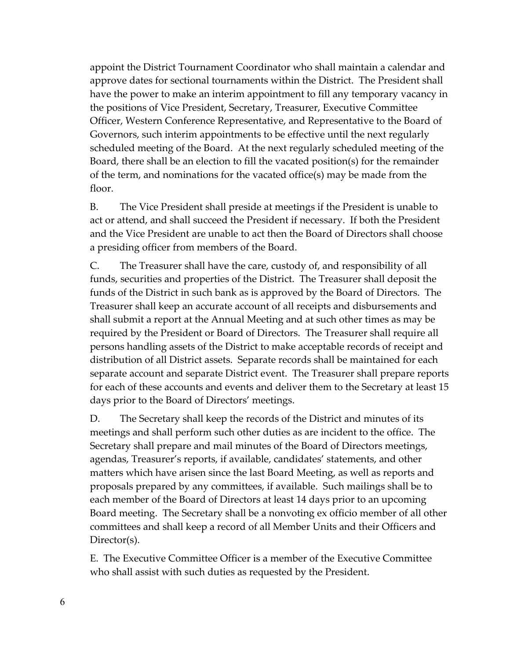appoint the District Tournament Coordinator who shall maintain a calendar and approve dates for sectional tournaments within the District. The President shall have the power to make an interim appointment to fill any temporary vacancy in the positions of Vice President, Secretary, Treasurer, Executive Committee Officer, Western Conference Representative, and Representative to the Board of Governors, such interim appointments to be effective until the next regularly scheduled meeting of the Board. At the next regularly scheduled meeting of the Board, there shall be an election to fill the vacated position(s) for the remainder of the term, and nominations for the vacated office(s) may be made from the floor.

B. The Vice President shall preside at meetings if the President is unable to act or attend, and shall succeed the President if necessary. If both the President and the Vice President are unable to act then the Board of Directors shall choose a presiding officer from members of the Board.

C. The Treasurer shall have the care, custody of, and responsibility of all funds, securities and properties of the District. The Treasurer shall deposit the funds of the District in such bank as is approved by the Board of Directors. The Treasurer shall keep an accurate account of all receipts and disbursements and shall submit a report at the Annual Meeting and at such other times as may be required by the President or Board of Directors. The Treasurer shall require all persons handling assets of the District to make acceptable records of receipt and distribution of all District assets. Separate records shall be maintained for each separate account and separate District event. The Treasurer shall prepare reports for each of these accounts and events and deliver them to the Secretary at least 15 days prior to the Board of Directors' meetings.

D. The Secretary shall keep the records of the District and minutes of its meetings and shall perform such other duties as are incident to the office. The Secretary shall prepare and mail minutes of the Board of Directors meetings, agendas, Treasurer's reports, if available, candidates' statements, and other matters which have arisen since the last Board Meeting, as well as reports and proposals prepared by any committees, if available. Such mailings shall be to each member of the Board of Directors at least 14 days prior to an upcoming Board meeting. The Secretary shall be a nonvoting ex officio member of all other committees and shall keep a record of all Member Units and their Officers and Director(s).

E. The Executive Committee Officer is a member of the Executive Committee who shall assist with such duties as requested by the President.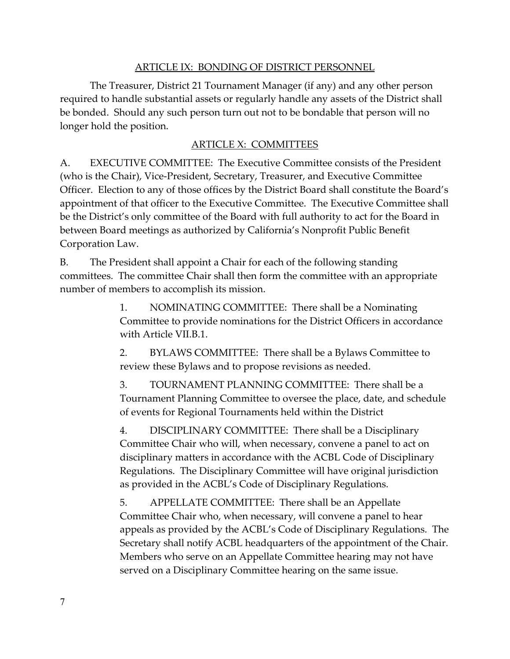#### ARTICLE IX: BONDING OF DISTRICT PERSONNEL

The Treasurer, District 21 Tournament Manager (if any) and any other person required to handle substantial assets or regularly handle any assets of the District shall be bonded. Should any such person turn out not to be bondable that person will no longer hold the position.

## ARTICLE X: COMMITTEES

A. EXECUTIVE COMMITTEE: The Executive Committee consists of the President (who is the Chair), Vice-President, Secretary, Treasurer, and Executive Committee Officer. Election to any of those offices by the District Board shall constitute the Board's appointment of that officer to the Executive Committee. The Executive Committee shall be the District's only committee of the Board with full authority to act for the Board in between Board meetings as authorized by California's Nonprofit Public Benefit Corporation Law.

B. The President shall appoint a Chair for each of the following standing committees. The committee Chair shall then form the committee with an appropriate number of members to accomplish its mission.

> 1. NOMINATING COMMITTEE: There shall be a Nominating Committee to provide nominations for the District Officers in accordance with Article VII.B.1.

2. BYLAWS COMMITTEE: There shall be a Bylaws Committee to review these Bylaws and to propose revisions as needed.

3. TOURNAMENT PLANNING COMMITTEE: There shall be a Tournament Planning Committee to oversee the place, date, and schedule of events for Regional Tournaments held within the District

4. DISCIPLINARY COMMITTEE: There shall be a Disciplinary Committee Chair who will, when necessary, convene a panel to act on disciplinary matters in accordance with the ACBL Code of Disciplinary Regulations. The Disciplinary Committee will have original jurisdiction as provided in the ACBL's Code of Disciplinary Regulations.

5. APPELLATE COMMITTEE: There shall be an Appellate Committee Chair who, when necessary, will convene a panel to hear appeals as provided by the ACBL's Code of Disciplinary Regulations. The Secretary shall notify ACBL headquarters of the appointment of the Chair. Members who serve on an Appellate Committee hearing may not have served on a Disciplinary Committee hearing on the same issue.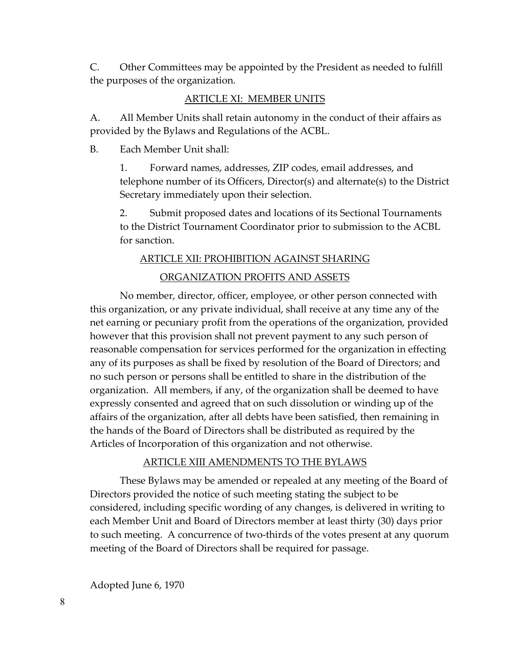C. Other Committees may be appointed by the President as needed to fulfill the purposes of the organization.

#### ARTICLE XI: MEMBER UNITS

A. All Member Units shall retain autonomy in the conduct of their affairs as provided by the Bylaws and Regulations of the ACBL.

B. Each Member Unit shall:

1. Forward names, addresses, ZIP codes, email addresses, and telephone number of its Officers, Director(s) and alternate(s) to the District Secretary immediately upon their selection.

2. Submit proposed dates and locations of its Sectional Tournaments to the District Tournament Coordinator prior to submission to the ACBL for sanction.

# ARTICLE XII: PROHIBITION AGAINST SHARING ORGANIZATION PROFITS AND ASSETS

No member, director, officer, employee, or other person connected with this organization, or any private individual, shall receive at any time any of the net earning or pecuniary profit from the operations of the organization, provided however that this provision shall not prevent payment to any such person of reasonable compensation for services performed for the organization in effecting any of its purposes as shall be fixed by resolution of the Board of Directors; and no such person or persons shall be entitled to share in the distribution of the organization. All members, if any, of the organization shall be deemed to have expressly consented and agreed that on such dissolution or winding up of the affairs of the organization, after all debts have been satisfied, then remaining in the hands of the Board of Directors shall be distributed as required by the Articles of Incorporation of this organization and not otherwise.

#### ARTICLE XIII AMENDMENTS TO THE BYLAWS

These Bylaws may be amended or repealed at any meeting of the Board of Directors provided the notice of such meeting stating the subject to be considered, including specific wording of any changes, is delivered in writing to each Member Unit and Board of Directors member at least thirty (30) days prior to such meeting. A concurrence of two-thirds of the votes present at any quorum meeting of the Board of Directors shall be required for passage.

Adopted June 6, 1970